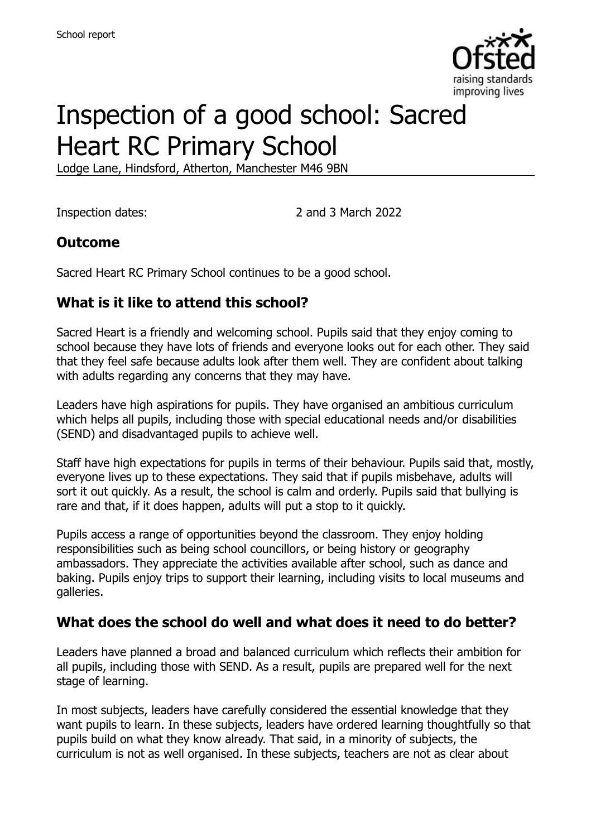

# Inspection of a good school: Sacred Heart RC Primary School

Lodge Lane, Hindsford, Atherton, Manchester M46 9BN

Inspection dates: 2 and 3 March 2022

## **Outcome**

Sacred Heart RC Primary School continues to be a good school.

## **What is it like to attend this school?**

Sacred Heart is a friendly and welcoming school. Pupils said that they enjoy coming to school because they have lots of friends and everyone looks out for each other. They said that they feel safe because adults look after them well. They are confident about talking with adults regarding any concerns that they may have.

Leaders have high aspirations for pupils. They have organised an ambitious curriculum which helps all pupils, including those with special educational needs and/or disabilities (SEND) and disadvantaged pupils to achieve well.

Staff have high expectations for pupils in terms of their behaviour. Pupils said that, mostly, everyone lives up to these expectations. They said that if pupils misbehave, adults will sort it out quickly. As a result, the school is calm and orderly. Pupils said that bullying is rare and that, if it does happen, adults will put a stop to it quickly.

Pupils access a range of opportunities beyond the classroom. They enjoy holding responsibilities such as being school councillors, or being history or geography ambassadors. They appreciate the activities available after school, such as dance and baking. Pupils enjoy trips to support their learning, including visits to local museums and galleries.

## **What does the school do well and what does it need to do better?**

Leaders have planned a broad and balanced curriculum which reflects their ambition for all pupils, including those with SEND. As a result, pupils are prepared well for the next stage of learning.

In most subjects, leaders have carefully considered the essential knowledge that they want pupils to learn. In these subjects, leaders have ordered learning thoughtfully so that pupils build on what they know already. That said, in a minority of subjects, the curriculum is not as well organised. In these subjects, teachers are not as clear about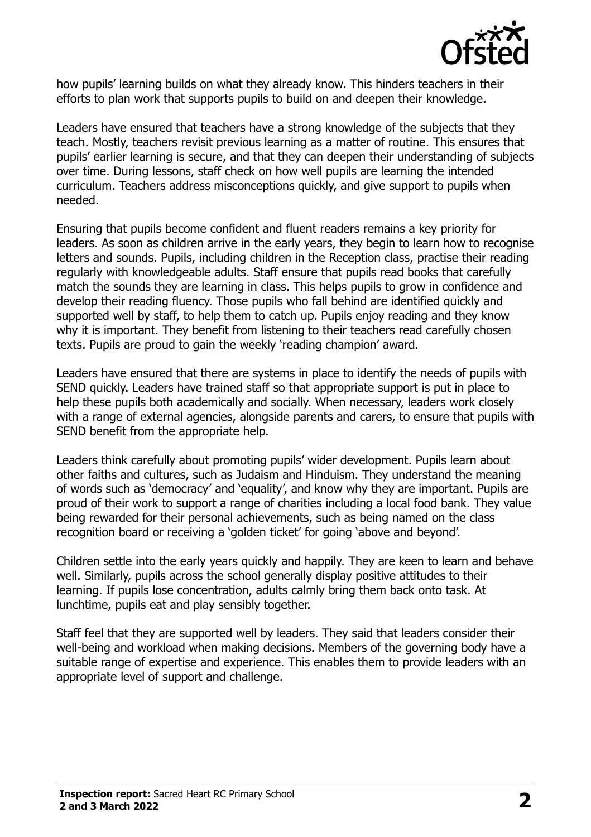

how pupils' learning builds on what they already know. This hinders teachers in their efforts to plan work that supports pupils to build on and deepen their knowledge.

Leaders have ensured that teachers have a strong knowledge of the subjects that they teach. Mostly, teachers revisit previous learning as a matter of routine. This ensures that pupils' earlier learning is secure, and that they can deepen their understanding of subjects over time. During lessons, staff check on how well pupils are learning the intended curriculum. Teachers address misconceptions quickly, and give support to pupils when needed.

Ensuring that pupils become confident and fluent readers remains a key priority for leaders. As soon as children arrive in the early years, they begin to learn how to recognise letters and sounds. Pupils, including children in the Reception class, practise their reading regularly with knowledgeable adults. Staff ensure that pupils read books that carefully match the sounds they are learning in class. This helps pupils to grow in confidence and develop their reading fluency. Those pupils who fall behind are identified quickly and supported well by staff, to help them to catch up. Pupils enjoy reading and they know why it is important. They benefit from listening to their teachers read carefully chosen texts. Pupils are proud to gain the weekly 'reading champion' award.

Leaders have ensured that there are systems in place to identify the needs of pupils with SEND quickly. Leaders have trained staff so that appropriate support is put in place to help these pupils both academically and socially. When necessary, leaders work closely with a range of external agencies, alongside parents and carers, to ensure that pupils with SEND benefit from the appropriate help.

Leaders think carefully about promoting pupils' wider development. Pupils learn about other faiths and cultures, such as Judaism and Hinduism. They understand the meaning of words such as 'democracy' and 'equality', and know why they are important. Pupils are proud of their work to support a range of charities including a local food bank. They value being rewarded for their personal achievements, such as being named on the class recognition board or receiving a 'golden ticket' for going 'above and beyond'.

Children settle into the early years quickly and happily. They are keen to learn and behave well. Similarly, pupils across the school generally display positive attitudes to their learning. If pupils lose concentration, adults calmly bring them back onto task. At lunchtime, pupils eat and play sensibly together.

Staff feel that they are supported well by leaders. They said that leaders consider their well-being and workload when making decisions. Members of the governing body have a suitable range of expertise and experience. This enables them to provide leaders with an appropriate level of support and challenge.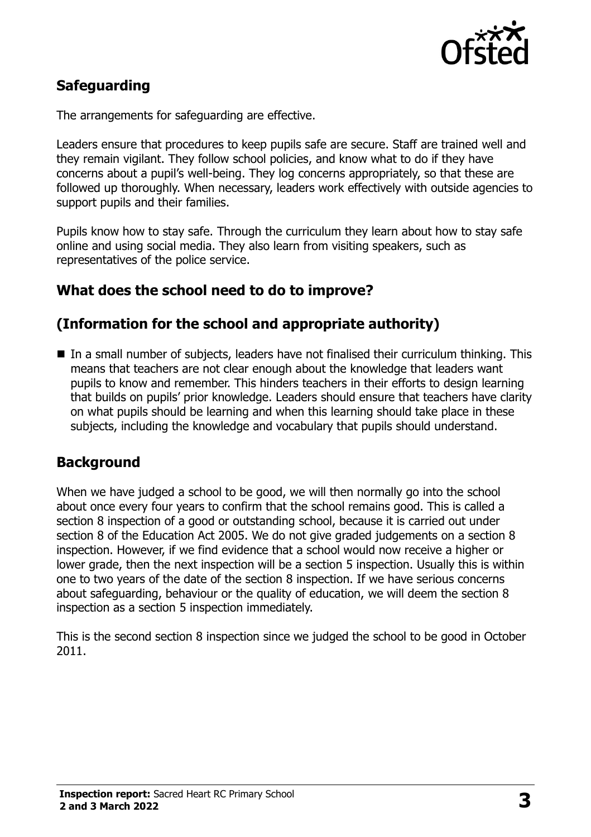

## **Safeguarding**

The arrangements for safeguarding are effective.

Leaders ensure that procedures to keep pupils safe are secure. Staff are trained well and they remain vigilant. They follow school policies, and know what to do if they have concerns about a pupil's well-being. They log concerns appropriately, so that these are followed up thoroughly. When necessary, leaders work effectively with outside agencies to support pupils and their families.

Pupils know how to stay safe. Through the curriculum they learn about how to stay safe online and using social media. They also learn from visiting speakers, such as representatives of the police service.

### **What does the school need to do to improve?**

## **(Information for the school and appropriate authority)**

 In a small number of subjects, leaders have not finalised their curriculum thinking. This means that teachers are not clear enough about the knowledge that leaders want pupils to know and remember. This hinders teachers in their efforts to design learning that builds on pupils' prior knowledge. Leaders should ensure that teachers have clarity on what pupils should be learning and when this learning should take place in these subjects, including the knowledge and vocabulary that pupils should understand.

#### **Background**

When we have judged a school to be good, we will then normally go into the school about once every four years to confirm that the school remains good. This is called a section 8 inspection of a good or outstanding school, because it is carried out under section 8 of the Education Act 2005. We do not give graded judgements on a section 8 inspection. However, if we find evidence that a school would now receive a higher or lower grade, then the next inspection will be a section 5 inspection. Usually this is within one to two years of the date of the section 8 inspection. If we have serious concerns about safeguarding, behaviour or the quality of education, we will deem the section 8 inspection as a section 5 inspection immediately.

This is the second section 8 inspection since we judged the school to be good in October 2011.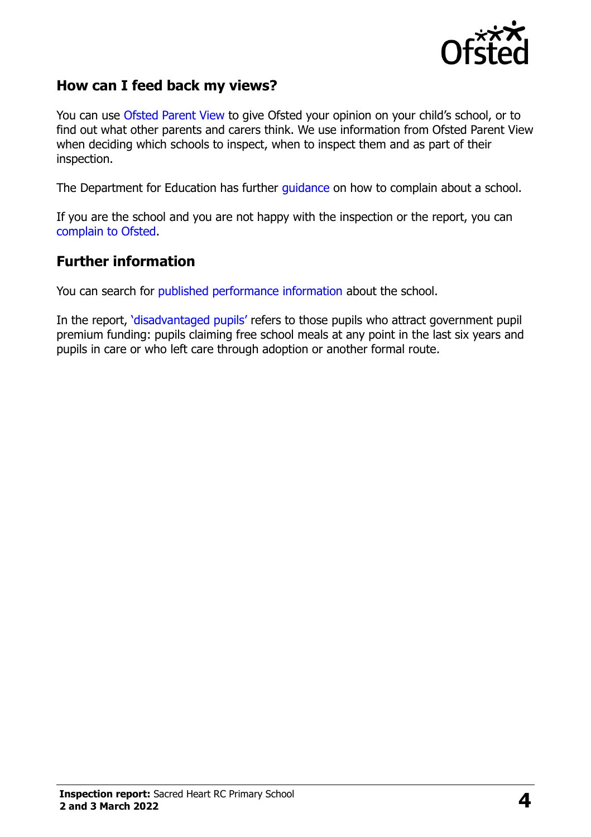

## **How can I feed back my views?**

You can use [Ofsted Parent View](https://parentview.ofsted.gov.uk/) to give Ofsted your opinion on your child's school, or to find out what other parents and carers think. We use information from Ofsted Parent View when deciding which schools to inspect, when to inspect them and as part of their inspection.

The Department for Education has further [guidance](http://www.gov.uk/complain-about-school) on how to complain about a school.

If you are the school and you are not happy with the inspection or the report, you can [complain to Ofsted.](https://www.gov.uk/complain-ofsted-report)

### **Further information**

You can search for [published performance information](http://www.compare-school-performance.service.gov.uk/) about the school.

In the report, '[disadvantaged pupils](http://www.gov.uk/guidance/pupil-premium-information-for-schools-and-alternative-provision-settings)' refers to those pupils who attract government pupil premium funding: pupils claiming free school meals at any point in the last six years and pupils in care or who left care through adoption or another formal route.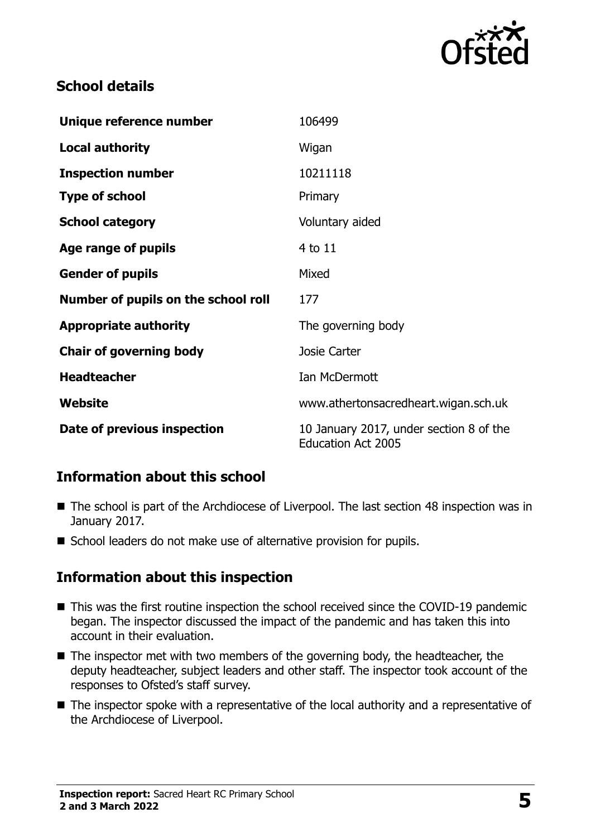

## **School details**

| Unique reference number             | 106499                                                               |
|-------------------------------------|----------------------------------------------------------------------|
| <b>Local authority</b>              | Wigan                                                                |
| <b>Inspection number</b>            | 10211118                                                             |
| <b>Type of school</b>               | Primary                                                              |
| <b>School category</b>              | Voluntary aided                                                      |
| Age range of pupils                 | 4 to 11                                                              |
| <b>Gender of pupils</b>             | Mixed                                                                |
| Number of pupils on the school roll | 177                                                                  |
| <b>Appropriate authority</b>        | The governing body                                                   |
| <b>Chair of governing body</b>      | <b>Josie Carter</b>                                                  |
| <b>Headteacher</b>                  | Ian McDermott                                                        |
| Website                             | www.athertonsacredheart.wigan.sch.uk                                 |
| Date of previous inspection         | 10 January 2017, under section 8 of the<br><b>Education Act 2005</b> |

## **Information about this school**

- The school is part of the Archdiocese of Liverpool. The last section 48 inspection was in January 2017.
- School leaders do not make use of alternative provision for pupils.

## **Information about this inspection**

- This was the first routine inspection the school received since the COVID-19 pandemic began. The inspector discussed the impact of the pandemic and has taken this into account in their evaluation.
- The inspector met with two members of the governing body, the headteacher, the deputy headteacher, subject leaders and other staff. The inspector took account of the responses to Ofsted's staff survey.
- The inspector spoke with a representative of the local authority and a representative of the Archdiocese of Liverpool.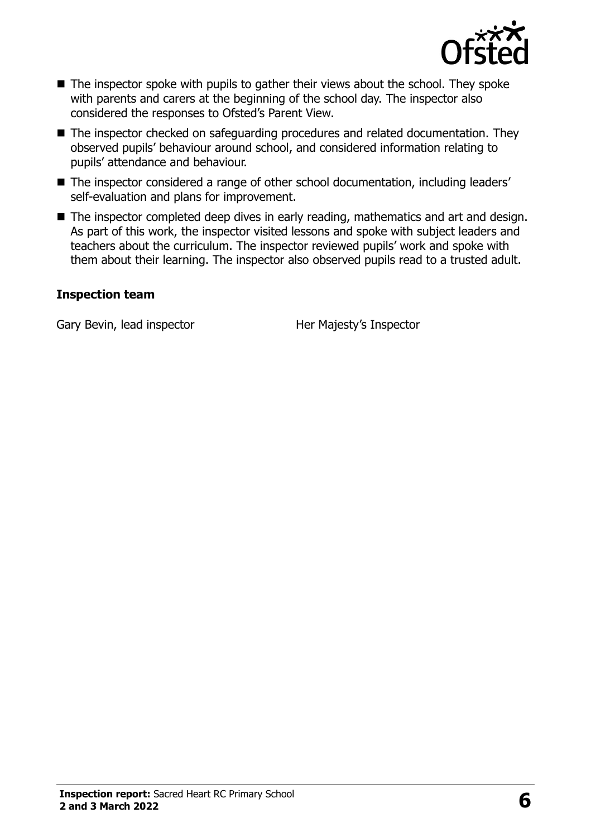

- $\blacksquare$  The inspector spoke with pupils to gather their views about the school. They spoke with parents and carers at the beginning of the school day. The inspector also considered the responses to Ofsted's Parent View.
- The inspector checked on safeguarding procedures and related documentation. They observed pupils' behaviour around school, and considered information relating to pupils' attendance and behaviour.
- The inspector considered a range of other school documentation, including leaders' self-evaluation and plans for improvement.
- The inspector completed deep dives in early reading, mathematics and art and design. As part of this work, the inspector visited lessons and spoke with subject leaders and teachers about the curriculum. The inspector reviewed pupils' work and spoke with them about their learning. The inspector also observed pupils read to a trusted adult.

#### **Inspection team**

Gary Bevin, lead inspector **Her Majesty's Inspector**